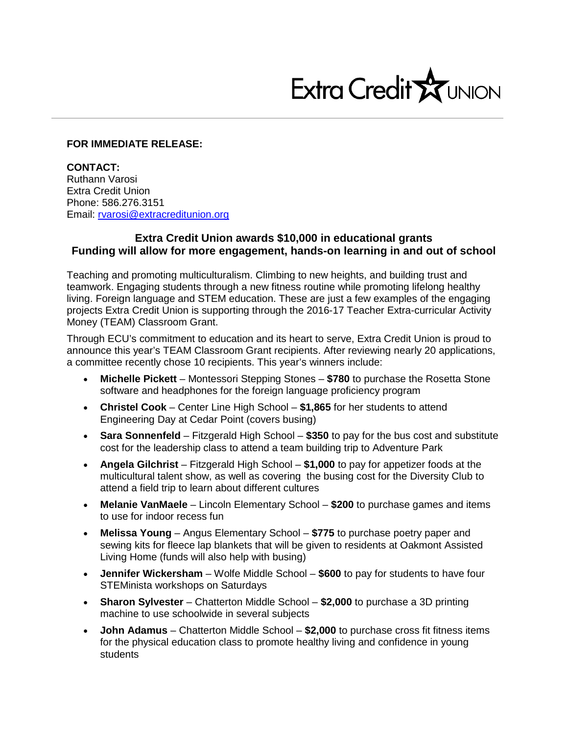

## **FOR IMMEDIATE RELEASE:**

**CONTACT:** Ruthann Varosi Extra Credit Union Phone: 586.276.3151 Email: [rvarosi@extracreditunion.org](mailto:rvarosi@extracreditunion.org)

## **Extra Credit Union awards \$10,000 in educational grants Funding will allow for more engagement, hands-on learning in and out of school**

Teaching and promoting multiculturalism. Climbing to new heights, and building trust and teamwork. Engaging students through a new fitness routine while promoting lifelong healthy living. Foreign language and STEM education. These are just a few examples of the engaging projects Extra Credit Union is supporting through the 2016-17 Teacher Extra-curricular Activity Money (TEAM) Classroom Grant.

Through ECU's commitment to education and its heart to serve, Extra Credit Union is proud to announce this year's TEAM Classroom Grant recipients. After reviewing nearly 20 applications, a committee recently chose 10 recipients. This year's winners include:

- **Michelle Pickett** Montessori Stepping Stones **\$780** to purchase the Rosetta Stone software and headphones for the foreign language proficiency program
- **Christel Cook** Center Line High School **\$1,865** for her students to attend Engineering Day at Cedar Point (covers busing)
- **Sara Sonnenfeld** Fitzgerald High School **\$350** to pay for the bus cost and substitute cost for the leadership class to attend a team building trip to Adventure Park
- **Angela Gilchrist** Fitzgerald High School **\$1,000** to pay for appetizer foods at the multicultural talent show, as well as covering the busing cost for the Diversity Club to attend a field trip to learn about different cultures
- **Melanie VanMaele** Lincoln Elementary School **\$200** to purchase games and items to use for indoor recess fun
- **Melissa Young** Angus Elementary School **\$775** to purchase poetry paper and sewing kits for fleece lap blankets that will be given to residents at Oakmont Assisted Living Home (funds will also help with busing)
- **Jennifer Wickersham** Wolfe Middle School **\$600** to pay for students to have four STEMinista workshops on Saturdays
- **Sharon Sylvester** Chatterton Middle School **\$2,000** to purchase a 3D printing machine to use schoolwide in several subjects
- **John Adamus** Chatterton Middle School **\$2,000** to purchase cross fit fitness items for the physical education class to promote healthy living and confidence in young students